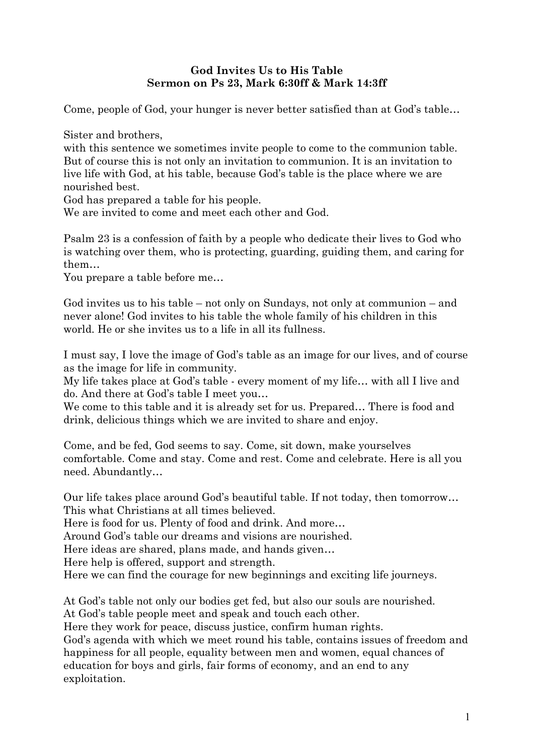## **God Invites Us to His Table Sermon on Ps 23, Mark 6:30ff & Mark 14:3ff**

Come, people of God, your hunger is never better satisfied than at God's table…

Sister and brothers,

with this sentence we sometimes invite people to come to the communion table. But of course this is not only an invitation to communion. It is an invitation to live life with God, at his table, because God's table is the place where we are nourished best.

God has prepared a table for his people.

We are invited to come and meet each other and God.

Psalm 23 is a confession of faith by a people who dedicate their lives to God who is watching over them, who is protecting, guarding, guiding them, and caring for them…

You prepare a table before me…

God invites us to his table – not only on Sundays, not only at communion – and never alone! God invites to his table the whole family of his children in this world. He or she invites us to a life in all its fullness.

I must say, I love the image of God's table as an image for our lives, and of course as the image for life in community.

My life takes place at God's table - every moment of my life… with all I live and do. And there at God's table I meet you…

We come to this table and it is already set for us. Prepared… There is food and drink, delicious things which we are invited to share and enjoy.

Come, and be fed, God seems to say. Come, sit down, make yourselves comfortable. Come and stay. Come and rest. Come and celebrate. Here is all you need. Abundantly…

Our life takes place around God's beautiful table. If not today, then tomorrow… This what Christians at all times believed.

Here is food for us. Plenty of food and drink. And more…

Around God's table our dreams and visions are nourished.

Here ideas are shared, plans made, and hands given…

Here help is offered, support and strength.

Here we can find the courage for new beginnings and exciting life journeys.

At God's table not only our bodies get fed, but also our souls are nourished.

At God's table people meet and speak and touch each other.

Here they work for peace, discuss justice, confirm human rights.

God's agenda with which we meet round his table, contains issues of freedom and happiness for all people, equality between men and women, equal chances of education for boys and girls, fair forms of economy, and an end to any exploitation.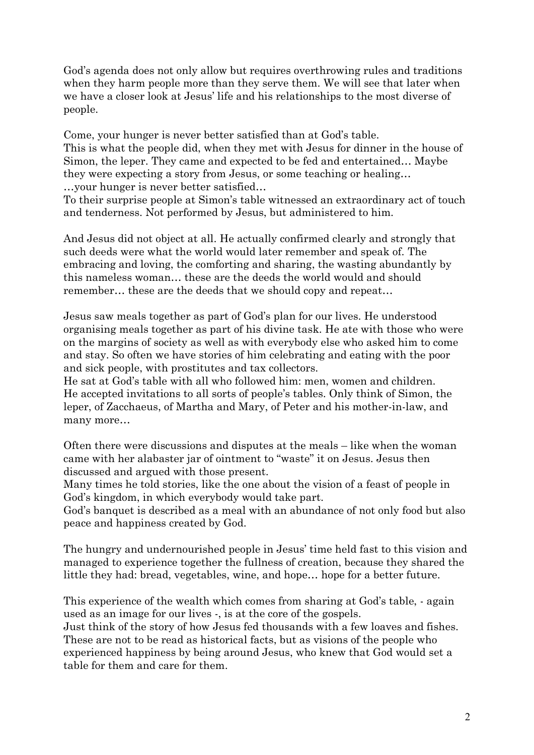God's agenda does not only allow but requires overthrowing rules and traditions when they harm people more than they serve them. We will see that later when we have a closer look at Jesus' life and his relationships to the most diverse of people.

Come, your hunger is never better satisfied than at God's table. This is what the people did, when they met with Jesus for dinner in the house of Simon, the leper. They came and expected to be fed and entertained… Maybe they were expecting a story from Jesus, or some teaching or healing… …your hunger is never better satisfied…

To their surprise people at Simon's table witnessed an extraordinary act of touch and tenderness. Not performed by Jesus, but administered to him.

And Jesus did not object at all. He actually confirmed clearly and strongly that such deeds were what the world would later remember and speak of. The embracing and loving, the comforting and sharing, the wasting abundantly by this nameless woman… these are the deeds the world would and should remember… these are the deeds that we should copy and repeat…

Jesus saw meals together as part of God's plan for our lives. He understood organising meals together as part of his divine task. He ate with those who were on the margins of society as well as with everybody else who asked him to come and stay. So often we have stories of him celebrating and eating with the poor and sick people, with prostitutes and tax collectors.

He sat at God's table with all who followed him: men, women and children. He accepted invitations to all sorts of people's tables. Only think of Simon, the leper, of Zacchaeus, of Martha and Mary, of Peter and his mother-in-law, and many more…

Often there were discussions and disputes at the meals – like when the woman came with her alabaster jar of ointment to "waste" it on Jesus. Jesus then discussed and argued with those present.

Many times he told stories, like the one about the vision of a feast of people in God's kingdom, in which everybody would take part.

God's banquet is described as a meal with an abundance of not only food but also peace and happiness created by God.

The hungry and undernourished people in Jesus' time held fast to this vision and managed to experience together the fullness of creation, because they shared the little they had: bread, vegetables, wine, and hope… hope for a better future.

This experience of the wealth which comes from sharing at God's table, - again used as an image for our lives -, is at the core of the gospels.

Just think of the story of how Jesus fed thousands with a few loaves and fishes. These are not to be read as historical facts, but as visions of the people who experienced happiness by being around Jesus, who knew that God would set a table for them and care for them.